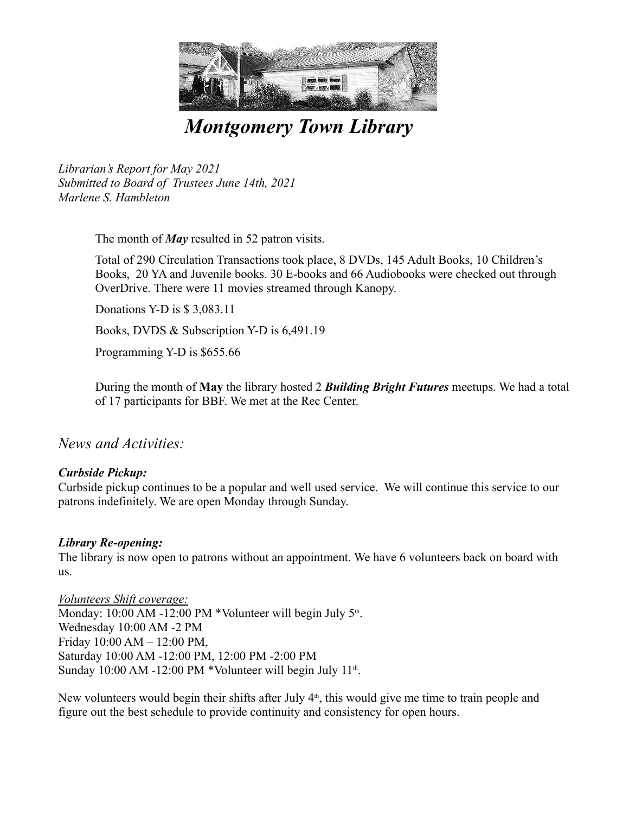

*Montgomery Town Library* 

*Librarian's Report for May 2021 Submitted to Board of Trustees June 14th, 2021 Marlene S. Hambleton*

The month of *May* resulted in 52 patron visits.

Total of 290 Circulation Transactions took place, 8 DVDs, 145 Adult Books, 10 Children's Books, 20 YA and Juvenile books. 30 E-books and 66 Audiobooks were checked out through OverDrive. There were 11 movies streamed through Kanopy. Donations Y-D is \$ 3,083.11

Books, DVDS & Subscription Y-D is 6,491.19

Programming Y-D is \$655.66

During the month of **May** the library hosted 2 *Building Bright Futures* meetups. We had a total of 17 participants for BBF. We met at the Rec Center.

*News and Activities:*

# *Curbside Pickup:*

Curbside pickup continues to be a popular and well used service. We will continue this service to our patrons indefinitely. We are open Monday through Sunday.

### *Library Re-opening:*

The library is now open to patrons without an appointment. We have 6 volunteers back on board with us.

*Volunteers Shift coverage:* Monday:  $10:00$  AM -12:00 PM \*Volunteer will begin July  $5<sup>th</sup>$ . . Wednesday 10:00 AM -2 PM Friday 10:00 AM – 12:00 PM, Saturday 10:00 AM -12:00 PM, 12:00 PM -2:00 PM Sunday 10:00 AM -12:00 PM \*Volunteer will begin July 11<sup>th</sup>. .

New volunteers would begin their shifts after July  $4<sup>th</sup>$ , this would give me time to train people and figure out the best schedule to provide continuity and consistency for open hours.